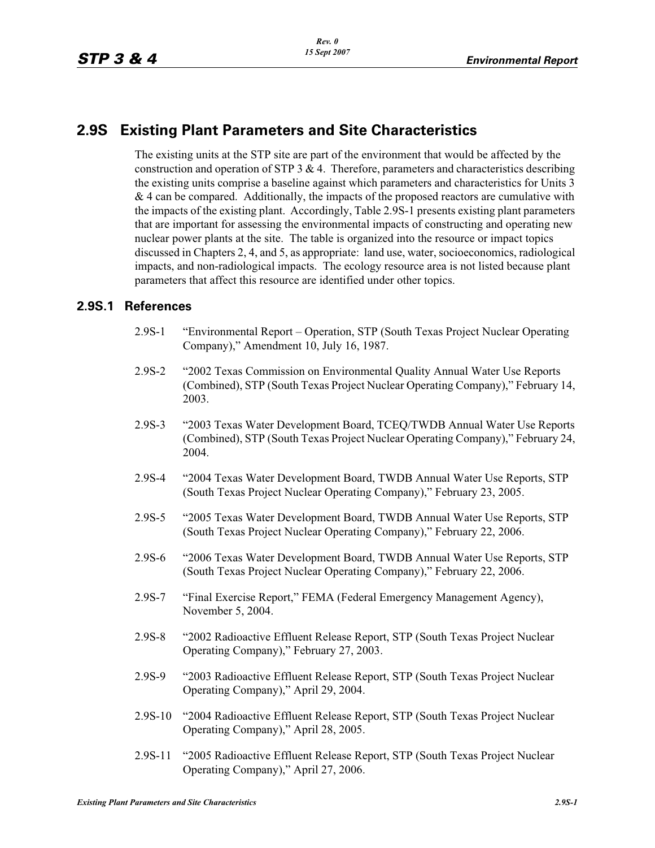## **2.9S Existing Plant Parameters and Site Characteristics**

The existing units at the STP site are part of the environment that would be affected by the construction and operation of STP  $3 \& 4$ . Therefore, parameters and characteristics describing the existing units comprise a baseline against which parameters and characteristics for Units 3  $& 4$  can be compared. Additionally, the impacts of the proposed reactors are cumulative with the impacts of the existing plant. Accordingly, Table 2.9S-1 presents existing plant parameters that are important for assessing the environmental impacts of constructing and operating new nuclear power plants at the site. The table is organized into the resource or impact topics discussed in Chapters 2, 4, and 5, as appropriate: land use, water, socioeconomics, radiological impacts, and non-radiological impacts. The ecology resource area is not listed because plant parameters that affect this resource are identified under other topics.

## **2.9S.1 References**

- 2.9S-1 "Environmental Report Operation, STP (South Texas Project Nuclear Operating Company)," Amendment 10, July 16, 1987.
- 2.9S-2 "2002 Texas Commission on Environmental Quality Annual Water Use Reports (Combined), STP (South Texas Project Nuclear Operating Company)," February 14, 2003.
- 2.9S-3 "2003 Texas Water Development Board, TCEQ/TWDB Annual Water Use Reports (Combined), STP (South Texas Project Nuclear Operating Company)," February 24, 2004.
- 2.9S-4 "2004 Texas Water Development Board, TWDB Annual Water Use Reports, STP (South Texas Project Nuclear Operating Company)," February 23, 2005.
- 2.9S-5 "2005 Texas Water Development Board, TWDB Annual Water Use Reports, STP (South Texas Project Nuclear Operating Company)," February 22, 2006.
- 2.9S-6 "2006 Texas Water Development Board, TWDB Annual Water Use Reports, STP (South Texas Project Nuclear Operating Company)," February 22, 2006.
- 2.9S-7 "Final Exercise Report," FEMA (Federal Emergency Management Agency), November 5, 2004.
- 2.9S-8 "2002 Radioactive Effluent Release Report, STP (South Texas Project Nuclear Operating Company)," February 27, 2003.
- 2.9S-9 "2003 Radioactive Effluent Release Report, STP (South Texas Project Nuclear Operating Company)," April 29, 2004.
- 2.9S-10 "2004 Radioactive Effluent Release Report, STP (South Texas Project Nuclear Operating Company)," April 28, 2005.
- 2.9S-11 "2005 Radioactive Effluent Release Report, STP (South Texas Project Nuclear Operating Company)," April 27, 2006.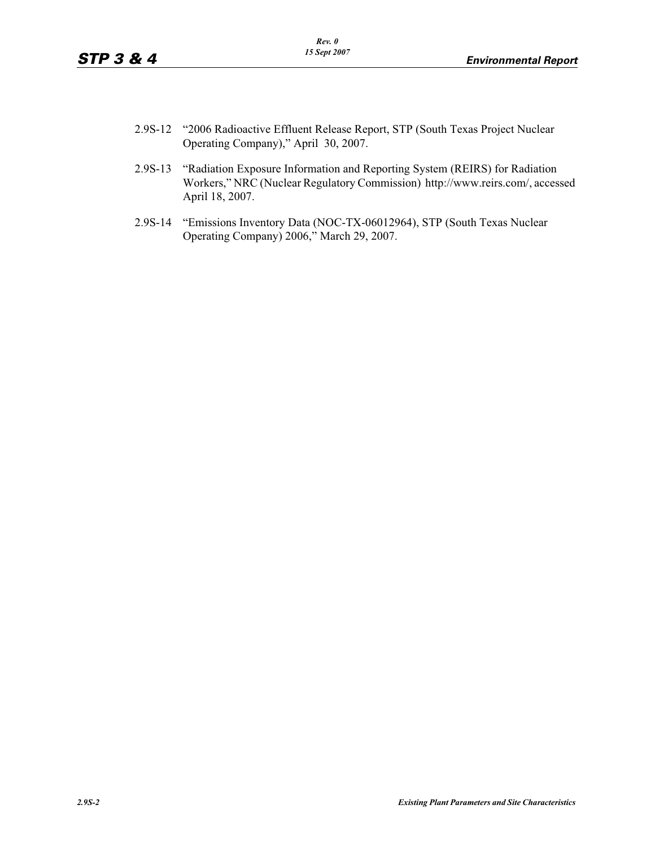- 2.9S-12 "2006 Radioactive Effluent Release Report, STP (South Texas Project Nuclear Operating Company)," April 30, 2007.
- 2.9S-13 "Radiation Exposure Information and Reporting System (REIRS) for Radiation Workers," NRC (Nuclear Regulatory Commission) http://www.reirs.com/, accessed April 18, 2007.
- 2.9S-14 "Emissions Inventory Data (NOC-TX-06012964), STP (South Texas Nuclear Operating Company) 2006," March 29, 2007.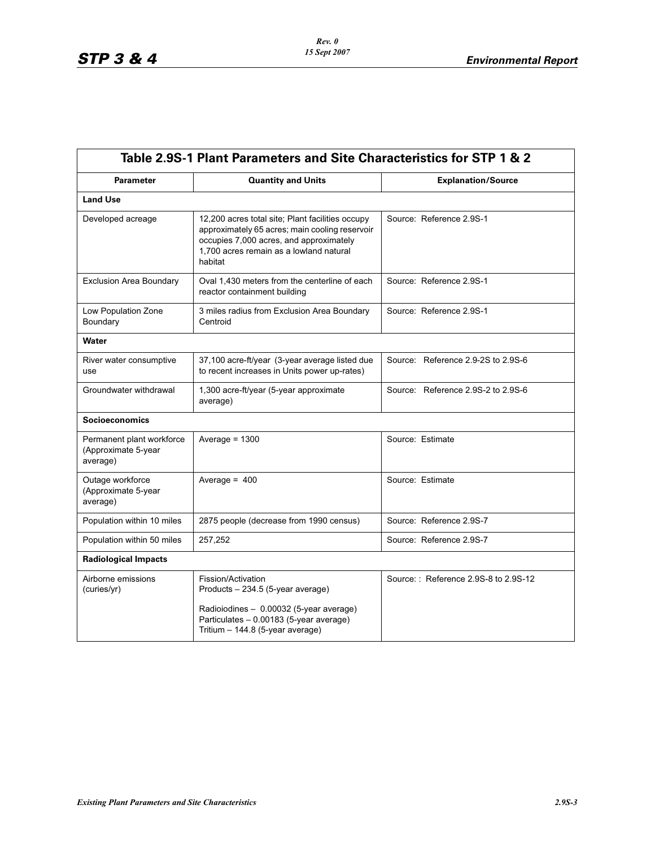| Table 2.9S-1 Plant Parameters and Site Characteristics for STP 1 & 2 |                                                                                                                                                                                                     |                                      |  |  |
|----------------------------------------------------------------------|-----------------------------------------------------------------------------------------------------------------------------------------------------------------------------------------------------|--------------------------------------|--|--|
| <b>Parameter</b>                                                     | <b>Quantity and Units</b>                                                                                                                                                                           | <b>Explanation/Source</b>            |  |  |
| <b>Land Use</b>                                                      |                                                                                                                                                                                                     |                                      |  |  |
| Developed acreage                                                    | 12,200 acres total site; Plant facilities occupy<br>approximately 65 acres; main cooling reservoir<br>occupies 7,000 acres, and approximately<br>1,700 acres remain as a lowland natural<br>habitat | Source: Reference 2.9S-1             |  |  |
| <b>Exclusion Area Boundary</b>                                       | Oval 1,430 meters from the centerline of each<br>reactor containment building                                                                                                                       | Source: Reference 2.9S-1             |  |  |
| Low Population Zone<br>Boundary                                      | 3 miles radius from Exclusion Area Boundary<br>Centroid                                                                                                                                             | Source: Reference 2.9S-1             |  |  |
| Water                                                                |                                                                                                                                                                                                     |                                      |  |  |
| River water consumptive<br>use                                       | 37,100 acre-ft/year (3-year average listed due<br>to recent increases in Units power up-rates)                                                                                                      | Source: Reference 2.9-2S to 2.9S-6   |  |  |
| Groundwater withdrawal                                               | 1,300 acre-ft/year (5-year approximate<br>average)                                                                                                                                                  | Source: Reference 2.9S-2 to 2.9S-6   |  |  |
| <b>Socioeconomics</b>                                                |                                                                                                                                                                                                     |                                      |  |  |
| Permanent plant workforce<br>(Approximate 5-year<br>average)         | Average = $1300$                                                                                                                                                                                    | Source: Estimate                     |  |  |
| Outage workforce<br>(Approximate 5-year<br>average)                  | Average = $400$                                                                                                                                                                                     | Source: Estimate                     |  |  |
| Population within 10 miles                                           | 2875 people (decrease from 1990 census)                                                                                                                                                             | Source: Reference 2.9S-7             |  |  |
| Population within 50 miles                                           | 257,252                                                                                                                                                                                             | Source: Reference 2.9S-7             |  |  |
| <b>Radiological Impacts</b>                                          |                                                                                                                                                                                                     |                                      |  |  |
| Airborne emissions<br>(curies/yr)                                    | Fission/Activation<br>Products - 234.5 (5-year average)<br>Radioiodines - 0.00032 (5-year average)                                                                                                  | Source:: Reference 2.9S-8 to 2.9S-12 |  |  |
|                                                                      | Particulates - 0.00183 (5-year average)<br>Tritium - 144.8 (5-year average)                                                                                                                         |                                      |  |  |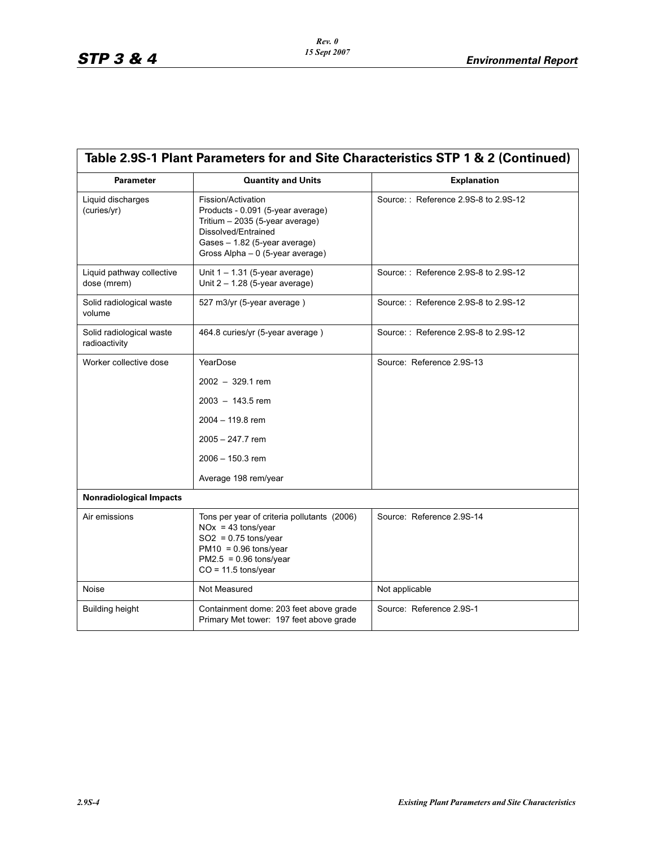| Table 2.9S-1 Plant Parameters for and Site Characteristics STP 1 & 2 (Continued) |                                                                                                                                                                                         |                                      |  |  |
|----------------------------------------------------------------------------------|-----------------------------------------------------------------------------------------------------------------------------------------------------------------------------------------|--------------------------------------|--|--|
| <b>Parameter</b>                                                                 | <b>Quantity and Units</b>                                                                                                                                                               | <b>Explanation</b>                   |  |  |
| Liquid discharges<br>(curies/yr)                                                 | Fission/Activation<br>Products - 0.091 (5-year average)<br>Tritium $-2035$ (5-year average)<br>Dissolved/Entrained<br>Gases - 1.82 (5-year average)<br>Gross Alpha - 0 (5-year average) | Source:: Reference 2.9S-8 to 2.9S-12 |  |  |
| Liquid pathway collective<br>dose (mrem)                                         | Unit $1 - 1.31$ (5-year average)<br>Unit $2 - 1.28$ (5-year average)                                                                                                                    | Source:: Reference 2.9S-8 to 2.9S-12 |  |  |
| Solid radiological waste<br>volume                                               | 527 m3/yr (5-year average)                                                                                                                                                              | Source:: Reference 2.9S-8 to 2.9S-12 |  |  |
| Solid radiological waste<br>radioactivity                                        | 464.8 curies/yr (5-year average)                                                                                                                                                        | Source:: Reference 2.9S-8 to 2.9S-12 |  |  |
| Worker collective dose                                                           | YearDose                                                                                                                                                                                | Source: Reference 2.9S-13            |  |  |
|                                                                                  | $2002 - 329.1$ rem                                                                                                                                                                      |                                      |  |  |
|                                                                                  | $2003 - 143.5$ rem                                                                                                                                                                      |                                      |  |  |
|                                                                                  | $2004 - 119.8$ rem                                                                                                                                                                      |                                      |  |  |
|                                                                                  | 2005 - 247.7 rem                                                                                                                                                                        |                                      |  |  |
|                                                                                  | $2006 - 150.3$ rem                                                                                                                                                                      |                                      |  |  |
|                                                                                  | Average 198 rem/year                                                                                                                                                                    |                                      |  |  |
| <b>Nonradiological Impacts</b>                                                   |                                                                                                                                                                                         |                                      |  |  |
| Air emissions                                                                    | Tons per year of criteria pollutants (2006)<br>$NOx = 43$ tons/year<br>$SO2 = 0.75$ tons/year<br>$PM10 = 0.96$ tons/year<br>$PM2.5 = 0.96$ tons/year<br>$CO = 11.5$ tons/year           | Source: Reference 2.9S-14            |  |  |
| Noise                                                                            | Not Measured                                                                                                                                                                            | Not applicable                       |  |  |
| <b>Building height</b>                                                           | Containment dome: 203 feet above grade<br>Primary Met tower: 197 feet above grade                                                                                                       | Source: Reference 2.9S-1             |  |  |